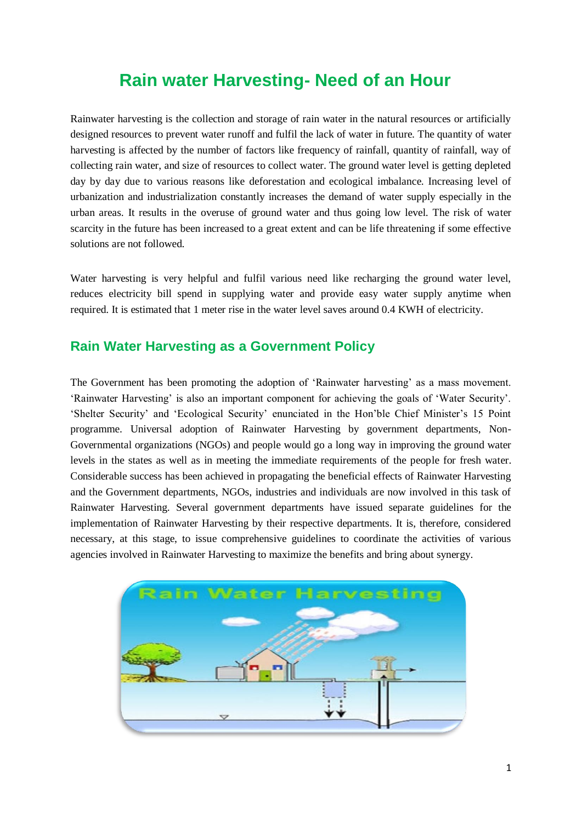## **Rain water Harvesting- Need of an Hour**

Rainwater harvesting is the collection and storage of rain water in the natural resources or artificially designed resources to prevent water runoff and fulfil the lack of water in future. The quantity of water harvesting is affected by the number of factors like frequency of rainfall, quantity of rainfall, way of collecting rain water, and size of resources to collect water. The ground water level is getting depleted day by day due to various reasons like deforestation and ecological imbalance. Increasing level of urbanization and industrialization constantly increases the demand of water supply especially in the urban areas. It results in the overuse of ground water and thus going low level. The risk of water scarcity in the future has been increased to a great extent and can be life threatening if some effective solutions are not followed.

Water harvesting is very helpful and fulfil various need like recharging the ground water level, reduces electricity bill spend in supplying water and provide easy water supply anytime when required. It is estimated that 1 meter rise in the water level saves around 0.4 KWH of electricity.

## **Rain Water Harvesting as a Government Policy**

The Government has been promoting the adoption of 'Rainwater harvesting' as a mass movement. 'Rainwater Harvesting' is also an important component for achieving the goals of 'Water Security'. 'Shelter Security' and 'Ecological Security' enunciated in the Hon'ble Chief Minister's 15 Point programme. Universal adoption of Rainwater Harvesting by government departments, Non-Governmental organizations (NGOs) and people would go a long way in improving the ground water levels in the states as well as in meeting the immediate requirements of the people for fresh water. Considerable success has been achieved in propagating the beneficial effects of Rainwater Harvesting and the Government departments, NGOs, industries and individuals are now involved in this task of Rainwater Harvesting. Several government departments have issued separate guidelines for the implementation of Rainwater Harvesting by their respective departments. It is, therefore, considered necessary, at this stage, to issue comprehensive guidelines to coordinate the activities of various agencies involved in Rainwater Harvesting to maximize the benefits and bring about synergy.